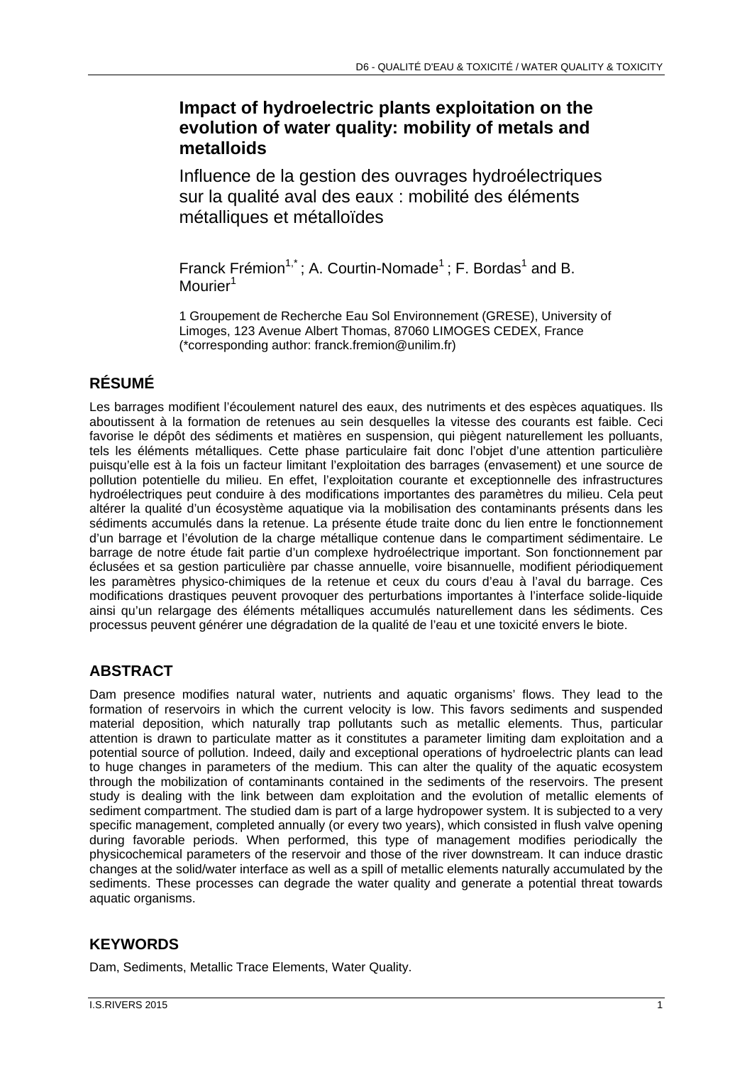## **Impact of hydroelectric plants exploitation on the evolution of water quality: mobility of metals and metalloids**

Influence de la gestion des ouvrages hydroélectriques sur la qualité aval des eaux : mobilité des éléments métalliques et métalloïdes

Franck Frémion<sup>1,\*</sup>; A. Courtin-Nomade<sup>1</sup>; F. Bordas<sup>1</sup> and B. Mourier<sup>1</sup>

1 Groupement de Recherche Eau Sol Environnement (GRESE), University of Limoges, 123 Avenue Albert Thomas, 87060 LIMOGES CEDEX, France (\*corresponding author: franck.fremion@unilim.fr)

# **RÉSUMÉ**

Les barrages modifient l'écoulement naturel des eaux, des nutriments et des espèces aquatiques. Ils aboutissent à la formation de retenues au sein desquelles la vitesse des courants est faible. Ceci favorise le dépôt des sédiments et matières en suspension, qui piègent naturellement les polluants, tels les éléments métalliques. Cette phase particulaire fait donc l'objet d'une attention particulière puisqu'elle est à la fois un facteur limitant l'exploitation des barrages (envasement) et une source de pollution potentielle du milieu. En effet, l'exploitation courante et exceptionnelle des infrastructures hydroélectriques peut conduire à des modifications importantes des paramètres du milieu. Cela peut altérer la qualité d'un écosystème aquatique via la mobilisation des contaminants présents dans les sédiments accumulés dans la retenue. La présente étude traite donc du lien entre le fonctionnement d'un barrage et l'évolution de la charge métallique contenue dans le compartiment sédimentaire. Le barrage de notre étude fait partie d'un complexe hydroélectrique important. Son fonctionnement par éclusées et sa gestion particulière par chasse annuelle, voire bisannuelle, modifient périodiquement les paramètres physico-chimiques de la retenue et ceux du cours d'eau à l'aval du barrage. Ces modifications drastiques peuvent provoquer des perturbations importantes à l'interface solide-liquide ainsi qu'un relargage des éléments métalliques accumulés naturellement dans les sédiments. Ces processus peuvent générer une dégradation de la qualité de l'eau et une toxicité envers le biote.

## **ABSTRACT**

Dam presence modifies natural water, nutrients and aquatic organisms' flows. They lead to the formation of reservoirs in which the current velocity is low. This favors sediments and suspended material deposition, which naturally trap pollutants such as metallic elements. Thus, particular attention is drawn to particulate matter as it constitutes a parameter limiting dam exploitation and a potential source of pollution. Indeed, daily and exceptional operations of hydroelectric plants can lead to huge changes in parameters of the medium. This can alter the quality of the aquatic ecosystem through the mobilization of contaminants contained in the sediments of the reservoirs. The present study is dealing with the link between dam exploitation and the evolution of metallic elements of sediment compartment. The studied dam is part of a large hydropower system. It is subjected to a very specific management, completed annually (or every two years), which consisted in flush valve opening during favorable periods. When performed, this type of management modifies periodically the physicochemical parameters of the reservoir and those of the river downstream. It can induce drastic changes at the solid/water interface as well as a spill of metallic elements naturally accumulated by the sediments. These processes can degrade the water quality and generate a potential threat towards aquatic organisms.

#### **KEYWORDS**

Dam, Sediments, Metallic Trace Elements, Water Quality.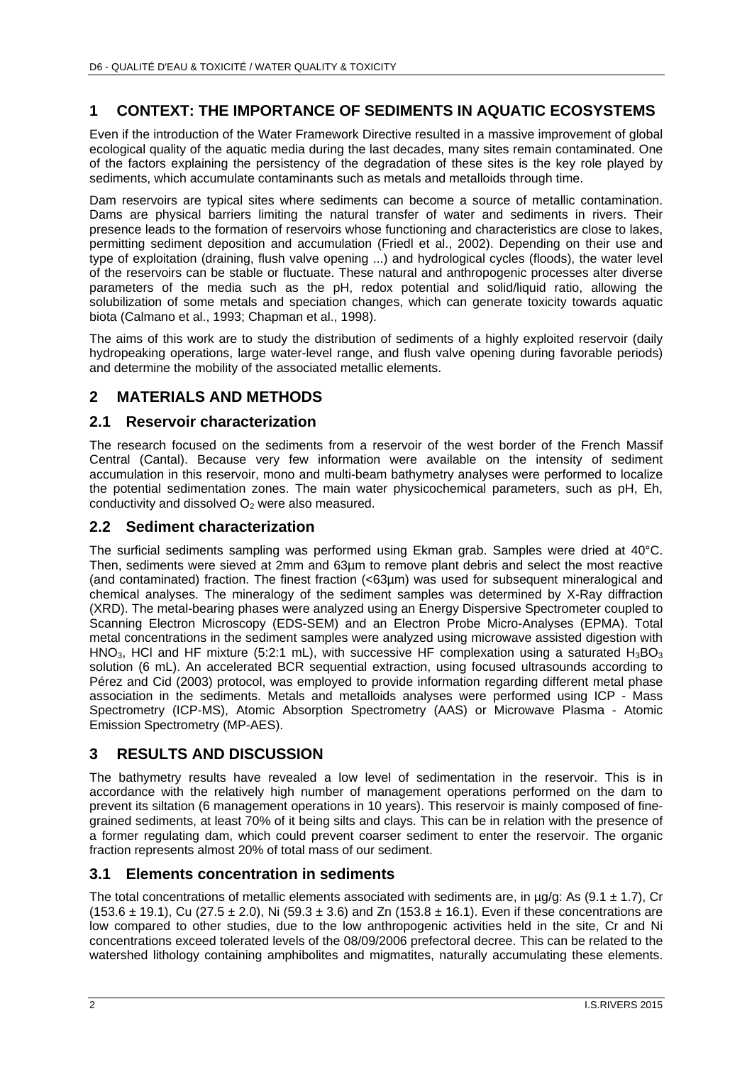### **1 CONTEXT: THE IMPORTANCE OF SEDIMENTS IN AQUATIC ECOSYSTEMS**

Even if the introduction of the Water Framework Directive resulted in a massive improvement of global ecological quality of the aquatic media during the last decades, many sites remain contaminated. One of the factors explaining the persistency of the degradation of these sites is the key role played by sediments, which accumulate contaminants such as metals and metalloids through time.

Dam reservoirs are typical sites where sediments can become a source of metallic contamination. Dams are physical barriers limiting the natural transfer of water and sediments in rivers. Their presence leads to the formation of reservoirs whose functioning and characteristics are close to lakes, permitting sediment deposition and accumulation (Friedl et al., 2002). Depending on their use and type of exploitation (draining, flush valve opening ...) and hydrological cycles (floods), the water level of the reservoirs can be stable or fluctuate. These natural and anthropogenic processes alter diverse parameters of the media such as the pH, redox potential and solid/liquid ratio, allowing the solubilization of some metals and speciation changes, which can generate toxicity towards aquatic biota (Calmano et al., 1993; Chapman et al., 1998).

The aims of this work are to study the distribution of sediments of a highly exploited reservoir (daily hydropeaking operations, large water-level range, and flush valve opening during favorable periods) and determine the mobility of the associated metallic elements.

### **2 MATERIALS AND METHODS**

#### **2.1 Reservoir characterization**

The research focused on the sediments from a reservoir of the west border of the French Massif Central (Cantal). Because very few information were available on the intensity of sediment accumulation in this reservoir, mono and multi-beam bathymetry analyses were performed to localize the potential sedimentation zones. The main water physicochemical parameters, such as pH, Eh, conductivity and dissolved  $O<sub>2</sub>$  were also measured.

#### **2.2 Sediment characterization**

The surficial sediments sampling was performed using Ekman grab. Samples were dried at 40°C. Then, sediments were sieved at 2mm and 63µm to remove plant debris and select the most reactive (and contaminated) fraction. The finest fraction (<63µm) was used for subsequent mineralogical and chemical analyses. The mineralogy of the sediment samples was determined by X-Ray diffraction (XRD). The metal-bearing phases were analyzed using an Energy Dispersive Spectrometer coupled to Scanning Electron Microscopy (EDS-SEM) and an Electron Probe Micro-Analyses (EPMA). Total metal concentrations in the sediment samples were analyzed using microwave assisted digestion with HNO<sub>3</sub>, HCl and HF mixture (5:2:1 mL), with successive HF complexation using a saturated H<sub>3</sub>BO<sub>3</sub> solution (6 mL). An accelerated BCR sequential extraction, using focused ultrasounds according to Pérez and Cid (2003) protocol, was employed to provide information regarding different metal phase association in the sediments. Metals and metalloids analyses were performed using ICP - Mass Spectrometry (ICP-MS), Atomic Absorption Spectrometry (AAS) or Microwave Plasma - Atomic Emission Spectrometry (MP-AES).

#### **3 RESULTS AND DISCUSSION**

The bathymetry results have revealed a low level of sedimentation in the reservoir. This is in accordance with the relatively high number of management operations performed on the dam to prevent its siltation (6 management operations in 10 years). This reservoir is mainly composed of finegrained sediments, at least 70% of it being silts and clays. This can be in relation with the presence of a former regulating dam, which could prevent coarser sediment to enter the reservoir. The organic fraction represents almost 20% of total mass of our sediment.

#### **3.1 Elements concentration in sediments**

The total concentrations of metallic elements associated with sediments are, in  $\mu q/q$ : As (9.1  $\pm$  1.7), Cr  $(153.6 \pm 19.1)$ , Cu  $(27.5 \pm 2.0)$ , Ni  $(59.3 \pm 3.6)$  and Zn  $(153.8 \pm 16.1)$ . Even if these concentrations are low compared to other studies, due to the low anthropogenic activities held in the site, Cr and Ni concentrations exceed tolerated levels of the 08/09/2006 prefectoral decree. This can be related to the watershed lithology containing amphibolites and migmatites, naturally accumulating these elements.